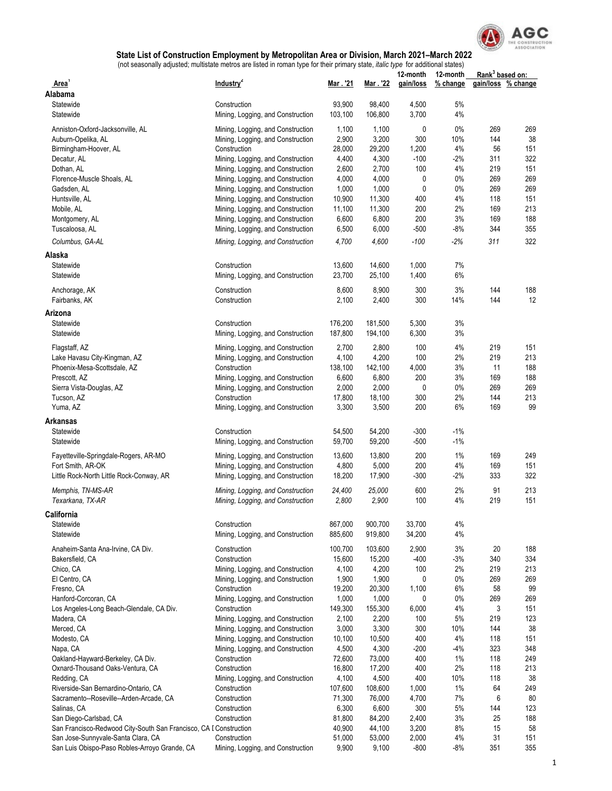

|                                                                                 | adjactod, mandato modoo are notod in roman type for their primary      |                   |                   | 12-month       | 12-month  | Rank <sup>3</sup> based on: |                    |
|---------------------------------------------------------------------------------|------------------------------------------------------------------------|-------------------|-------------------|----------------|-----------|-----------------------------|--------------------|
| Area <sup>1</sup>                                                               | Industry <sup>2</sup>                                                  | Mar. 21           | Mar. 22           | gain/loss      | % change  |                             | gain/loss % change |
| Alabama                                                                         |                                                                        |                   |                   |                |           |                             |                    |
| Statewide<br>Statewide                                                          | Construction<br>Mining, Logging, and Construction                      | 93,900<br>103,100 | 98,400<br>106,800 | 4,500<br>3,700 | 5%<br>4%  |                             |                    |
|                                                                                 |                                                                        |                   |                   |                |           |                             |                    |
| Anniston-Oxford-Jacksonville, AL                                                | Mining, Logging, and Construction                                      | 1,100             | 1,100             | 0              | 0%        | 269                         | 269                |
| Auburn-Opelika, AL                                                              | Mining, Logging, and Construction                                      | 2,900             | 3,200             | 300            | 10%       | 144                         | 38                 |
| Birmingham-Hoover, AL                                                           | Construction                                                           | 28,000            | 29,200            | 1,200          | 4%        | 56                          | 151                |
| Decatur, AL                                                                     | Mining, Logging, and Construction                                      | 4,400             | 4,300             | $-100$         | $-2%$     | 311                         | 322                |
| Dothan, AL<br>Florence-Muscle Shoals, AL                                        | Mining, Logging, and Construction<br>Mining, Logging, and Construction | 2,600<br>4,000    | 2,700<br>4,000    | 100<br>0       | 4%<br>0%  | 219<br>269                  | 151<br>269         |
| Gadsden, AL                                                                     | Mining, Logging, and Construction                                      | 1,000             | 1,000             | 0              | 0%        | 269                         | 269                |
| Huntsville, AL                                                                  | Mining, Logging, and Construction                                      | 10,900            | 11,300            | 400            | 4%        | 118                         | 151                |
| Mobile, AL                                                                      | Mining, Logging, and Construction                                      | 11,100            | 11,300            | 200            | 2%        | 169                         | 213                |
| Montgomery, AL                                                                  | Mining, Logging, and Construction                                      | 6,600             | 6,800             | 200            | 3%        | 169                         | 188                |
| Tuscaloosa, AL                                                                  | Mining, Logging, and Construction                                      | 6,500             | 6,000             | $-500$         | -8%       | 344                         | 355                |
| Columbus, GA-AL                                                                 | Mining, Logging, and Construction                                      | 4,700             | 4,600             | $-100$         | $-2%$     | 311                         | 322                |
|                                                                                 |                                                                        |                   |                   |                |           |                             |                    |
| Alaska                                                                          |                                                                        |                   |                   |                |           |                             |                    |
| Statewide                                                                       | Construction                                                           | 13,600            | 14,600            | 1,000          | 7%        |                             |                    |
| Statewide                                                                       | Mining, Logging, and Construction                                      | 23,700            | 25,100            | 1,400          | 6%        |                             |                    |
| Anchorage, AK                                                                   | Construction                                                           | 8,600             | 8,900             | 300            | 3%        | 144                         | 188                |
| Fairbanks, AK                                                                   | Construction                                                           | 2,100             | 2,400             | 300            | 14%       | 144                         | 12                 |
| Arizona                                                                         |                                                                        |                   |                   |                |           |                             |                    |
| Statewide                                                                       | Construction                                                           | 176,200           | 181,500           | 5,300          | 3%        |                             |                    |
| Statewide                                                                       | Mining, Logging, and Construction                                      | 187,800           | 194,100           | 6,300          | 3%        |                             |                    |
|                                                                                 |                                                                        | 2,700             | 2,800             | 100            | 4%        | 219                         | 151                |
| Flagstaff, AZ<br>Lake Havasu City-Kingman, AZ                                   | Mining, Logging, and Construction<br>Mining, Logging, and Construction | 4,100             | 4,200             | 100            | 2%        | 219                         | 213                |
| Phoenix-Mesa-Scottsdale, AZ                                                     | Construction                                                           | 138,100           | 142,100           | 4,000          | 3%        | 11                          | 188                |
| Prescott, AZ                                                                    | Mining, Logging, and Construction                                      | 6,600             | 6,800             | 200            | 3%        | 169                         | 188                |
| Sierra Vista-Douglas, AZ                                                        | Mining, Logging, and Construction                                      | 2,000             | 2,000             | 0              | 0%        | 269                         | 269                |
| Tucson, AZ                                                                      | Construction                                                           | 17,800            | 18,100            | 300            | 2%        | 144                         | 213                |
| Yuma, AZ                                                                        | Mining, Logging, and Construction                                      | 3,300             | 3,500             | 200            | 6%        | 169                         | 99                 |
| Arkansas                                                                        |                                                                        |                   |                   |                |           |                             |                    |
| Statewide                                                                       | Construction                                                           | 54,500            | 54,200            | $-300$         | $-1%$     |                             |                    |
| Statewide                                                                       | Mining, Logging, and Construction                                      | 59,700            | 59,200            | $-500$         | $-1%$     |                             |                    |
|                                                                                 |                                                                        |                   |                   |                |           |                             |                    |
| Fayetteville-Springdale-Rogers, AR-MO                                           | Mining, Logging, and Construction                                      | 13,600            | 13,800            | 200            | 1%        | 169                         | 249                |
| Fort Smith, AR-OK                                                               | Mining, Logging, and Construction                                      | 4,800             | 5,000             | 200            | 4%        | 169                         | 151                |
| Little Rock-North Little Rock-Conway, AR                                        | Mining, Logging, and Construction                                      | 18,200            | 17,900            | $-300$         | $-2\%$    | 333                         | 322                |
| Memphis, TN-MS-AR                                                               | Mining, Logging, and Construction                                      | 24,400            | 25,000            | 600            | 2%        | 91                          | 213                |
| Texarkana, TX-AR                                                                | Mining, Logging, and Construction                                      | 2,800             | 2,900             | 100            | 4%        | 219                         | 151                |
| California                                                                      |                                                                        |                   |                   |                |           |                             |                    |
| Statewide                                                                       | Construction                                                           | 867,000           | 900,700           | 33,700         | 4%        |                             |                    |
| Statewide                                                                       | Mining, Logging, and Construction                                      | 885,600           | 919,800           | 34,200         | 4%        |                             |                    |
| Anaheim-Santa Ana-Irvine, CA Div.                                               | Construction                                                           | 100,700           | 103,600           | 2,900          | 3%        | 20                          | 188                |
| Bakersfield, CA                                                                 | Construction                                                           | 15,600            | 15,200            | $-400$         | $-3%$     | 340                         | 334                |
| Chico, CA                                                                       | Mining, Logging, and Construction                                      | 4,100             | 4,200             | 100            | 2%        | 219                         | 213                |
| El Centro, CA                                                                   | Mining, Logging, and Construction                                      | 1,900             | 1,900             | 0              | 0%        | 269                         | 269                |
| Fresno, CA                                                                      | Construction                                                           | 19,200            | 20,300            | 1,100          | 6%        | 58                          | 99                 |
| Hanford-Corcoran, CA                                                            | Mining, Logging, and Construction                                      | 1,000             | 1,000             | 0              | 0%        | 269                         | 269                |
| Los Angeles-Long Beach-Glendale, CA Div.                                        | Construction                                                           | 149,300           | 155,300           | 6,000          | 4%        | 3                           | 151                |
| Madera, CA                                                                      | Mining, Logging, and Construction                                      | 2,100             | 2,200             | 100            | 5%        | 219                         | 123                |
| Merced, CA                                                                      | Mining, Logging, and Construction                                      | 3,000             | 3,300             | 300            | 10%       | 144                         | 38                 |
| Modesto, CA                                                                     | Mining, Logging, and Construction                                      | 10,100            | 10,500            | 400            | 4%        | 118                         | 151                |
| Napa, CA                                                                        | Mining, Logging, and Construction                                      | 4,500             | 4,300             | $-200$         | -4%       | 323                         | 348                |
| Oakland-Hayward-Berkeley, CA Div.                                               | Construction                                                           | 72,600            | 73,000            | 400            | 1%        | 118                         | 249                |
| Oxnard-Thousand Oaks-Ventura, CA                                                | Construction                                                           | 16,800            | 17,200            | 400            | 2%        | 118                         | 213                |
| Redding, CA                                                                     | Mining, Logging, and Construction                                      | 4,100             | 4,500             | 400            | 10%<br>1% | 118<br>64                   | 38<br>249          |
| Riverside-San Bernardino-Ontario, CA<br>Sacramento--Roseville--Arden-Arcade, CA | Construction<br>Construction                                           | 107,600<br>71,300 | 108,600<br>76,000 | 1,000<br>4,700 | 7%        | 6                           | 80                 |
| Salinas, CA                                                                     | Construction                                                           | 6,300             | 6,600             | 300            | 5%        | 144                         | 123                |
| San Diego-Carlsbad, CA                                                          | Construction                                                           | 81,800            | 84,200            | 2,400          | 3%        | 25                          | 188                |
| San Francisco-Redwood City-South San Francisco, CA I Construction               |                                                                        | 40,900            | 44,100            | 3,200          | 8%        | 15                          | 58                 |
| San Jose-Sunnyvale-Santa Clara, CA                                              | Construction                                                           | 51,000            | 53,000            | 2,000          | 4%        | 31                          | 151                |
| San Luis Obispo-Paso Robles-Arroyo Grande, CA                                   | Mining, Logging, and Construction                                      | 9,900             | 9,100             | $-800$         | $-8%$     | 351                         | 355                |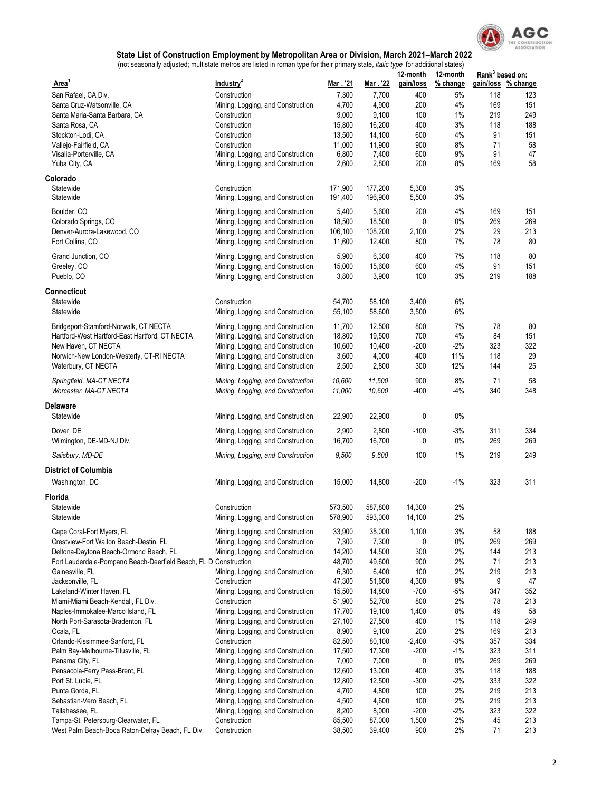

|                                                                  |                                   |                 |                 | 12-month    | 12-month | Rank <sup>3</sup> based on: |          |
|------------------------------------------------------------------|-----------------------------------|-----------------|-----------------|-------------|----------|-----------------------------|----------|
| <b>Area</b>                                                      | Industry <sup>2</sup>             | Mar. 21         | Mar . '22       | gain/loss   | % change | gain/loss                   | % change |
| San Rafael, CA Div.                                              | Construction                      | 7,300           | 7,700           | 400         | 5%       | 118                         | 123      |
| Santa Cruz-Watsonville, CA                                       | Mining, Logging, and Construction | 4,700           | 4,900           | 200         | 4%       | 169                         | 151      |
| Santa Maria-Santa Barbara, CA                                    | Construction                      | 9,000           | 9,100           | 100         | 1%       | 219                         | 249      |
| Santa Rosa, CA                                                   | Construction                      | 15,800          | 16,200          | 400         | 3%       | 118                         | 188      |
| Stockton-Lodi, CA                                                | Construction                      | 13,500          | 14,100          | 600         | 4%       | 91                          | 151      |
| Vallejo-Fairfield, CA                                            | Construction                      | 11,000          | 11,900          | 900         | 8%       | 71                          | 58       |
| Visalia-Porterville, CA                                          | Mining, Logging, and Construction | 6,800           | 7,400           | 600         | 9%       | 91                          | 47       |
| Yuba City, CA                                                    | Mining, Logging, and Construction | 2,600           | 2,800           | 200         | 8%       | 169                         | 58       |
| Colorado                                                         |                                   |                 |                 |             |          |                             |          |
| Statewide                                                        | Construction                      | 171,900         | 177,200         | 5,300       | 3%       |                             |          |
| Statewide                                                        | Mining, Logging, and Construction | 191,400         | 196,900         | 5,500       | 3%       |                             |          |
| Boulder, CO                                                      | Mining, Logging, and Construction | 5,400           | 5,600           | 200         | 4%       | 169                         | 151      |
| Colorado Springs, CO                                             | Mining, Logging, and Construction | 18,500          | 18,500          | 0           | 0%       | 269                         | 269      |
| Denver-Aurora-Lakewood, CO                                       | Mining, Logging, and Construction | 106,100         | 108,200         | 2,100       | 2%       | 29                          | 213      |
| Fort Collins, CO                                                 | Mining, Logging, and Construction | 11,600          | 12,400          | 800         | 7%       | 78                          | 80       |
|                                                                  |                                   |                 |                 |             | 7%       |                             | 80       |
| Grand Junction, CO                                               | Mining, Logging, and Construction | 5,900<br>15,000 | 6,300<br>15,600 | 400<br>600  | $4\%$    | 118<br>91                   | 151      |
| Greeley, CO                                                      | Mining, Logging, and Construction |                 |                 |             |          | 219                         | 188      |
| Pueblo, CO                                                       | Mining, Logging, and Construction | 3,800           | 3,900           | 100         | 3%       |                             |          |
| Connecticut                                                      |                                   |                 |                 |             |          |                             |          |
| Statewide                                                        | Construction                      | 54,700          | 58,100          | 3,400       | $6\%$    |                             |          |
| Statewide                                                        | Mining, Logging, and Construction | 55,100          | 58,600          | 3,500       | 6%       |                             |          |
| Bridgeport-Stamford-Norwalk, CT NECTA                            | Mining, Logging, and Construction | 11,700          | 12,500          | 800         | 7%       | 78                          | 80       |
| Hartford-West Hartford-East Hartford, CT NECTA                   | Mining, Logging, and Construction | 18,800          | 19,500          | 700         | 4%       | 84                          | 151      |
| New Haven, CT NECTA                                              | Mining, Logging, and Construction | 10,600          | 10,400          | -200        | $-2%$    | 323                         | 322      |
| Norwich-New London-Westerly, CT-RI NECTA                         | Mining, Logging, and Construction | 3,600           | 4,000           | 400         | 11%      | 118                         | 29       |
| Waterbury, CT NECTA                                              | Mining, Logging, and Construction | 2,500           | 2,800           | 300         | 12%      | 144                         | 25       |
|                                                                  |                                   |                 |                 |             |          |                             |          |
| Springfield, MA-CT NECTA                                         | Mining, Logging, and Construction | 10,600          | 11,500          | 900         | 8%       | 71                          | 58       |
| Worcester, MA-CT NECTA                                           | Mining, Logging, and Construction | 11,000          | 10,600          | $-400$      | -4%      | 340                         | 348      |
| Delaware                                                         |                                   |                 |                 |             |          |                             |          |
| Statewide                                                        | Mining, Logging, and Construction | 22,900          | 22,900          | 0           | $0\%$    |                             |          |
|                                                                  |                                   |                 |                 |             |          |                             |          |
| Dover, DE                                                        | Mining, Logging, and Construction | 2,900           | 2,800           | $-100$<br>0 | -3%      | 311                         | 334      |
| Wilmington, DE-MD-NJ Div.                                        | Mining, Logging, and Construction | 16,700          | 16,700          |             | 0%       | 269                         | 269      |
| Salisbury, MD-DE                                                 | Mining, Logging, and Construction | 9,500           | 9,600           | 100         | 1%       | 219                         | 249      |
| <b>District of Columbia</b>                                      |                                   |                 |                 |             |          |                             |          |
| Washington, DC                                                   | Mining, Logging, and Construction | 15,000          | 14,800          | $-200$      | $-1%$    | 323                         | 311      |
|                                                                  |                                   |                 |                 |             |          |                             |          |
| Florida                                                          |                                   |                 |                 |             |          |                             |          |
| Statewide                                                        | Construction                      | 573,500         | 587,800         | 14,300      | 2%       |                             |          |
| Statewide                                                        | Mining, Logging, and Construction | 5/8,900         | 593,000         | 14,100      | $2\%$    |                             |          |
| Cape Coral-Fort Myers, FL                                        | Mining, Logging, and Construction | 33,900          | 35,000          | 1,100       | 3%       | 58                          | 188      |
| Crestview-Fort Walton Beach-Destin, FL                           | Mining, Logging, and Construction | 7,300           | 7,300           | 0           | $0\%$    | 269                         | 269      |
| Deltona-Daytona Beach-Ormond Beach, FL                           | Mining, Logging, and Construction | 14,200          | 14,500          | 300         | 2%       | 144                         | 213      |
| Fort Lauderdale-Pompano Beach-Deerfield Beach, FL D Construction |                                   | 48,700          | 49,600          | 900         | 2%       | 71                          | 213      |
| Gainesville, FL                                                  | Mining, Logging, and Construction | 6,300           | 6,400           | 100         | 2%       | 219                         | 213      |
| Jacksonville, FL                                                 | Construction                      | 47,300          | 51,600          | 4,300       | 9%       | 9                           | 47       |
| Lakeland-Winter Haven, FL                                        | Mining, Logging, and Construction | 15,500          | 14,800          | $-700$      | $-5%$    | 347                         | 352      |
| Miami-Miami Beach-Kendall, FL Div.                               | Construction                      | 51,900          | 52,700          | 800         | 2%       | 78                          | 213      |
| Naples-Immokalee-Marco Island, FL                                | Mining, Logging, and Construction | 17,700          | 19,100          | 1,400       | 8%       | 49                          | 58       |
| North Port-Sarasota-Bradenton, FL                                | Mining, Logging, and Construction | 27,100          | 27,500          | 400         | $1\%$    | 118                         | 249      |
| Ocala, FL                                                        | Mining, Logging, and Construction | 8,900           | 9,100           | 200         | 2%       | 169                         | 213      |
| Orlando-Kissimmee-Sanford, FL                                    | Construction                      | 82,500          | 80,100          | $-2,400$    | -3%      | 357                         | 334      |
| Palm Bay-Melbourne-Titusville, FL                                | Mining, Logging, and Construction | 17,500          | 17,300          | $-200$      | -1%      | 323                         | 311      |
| Panama City, FL                                                  | Mining, Logging, and Construction | 7,000           | 7,000           | 0           | 0%       | 269                         | 269      |
| Pensacola-Ferry Pass-Brent, FL                                   | Mining, Logging, and Construction | 12,600          | 13,000          | 400         | 3%       | 118                         | 188      |
| Port St. Lucie, FL                                               | Mining, Logging, and Construction | 12,800          | 12,500          | -300        | $-2%$    | 333                         | 322      |
| Punta Gorda, FL                                                  | Mining, Logging, and Construction | 4,700           | 4,800           | 100         | 2%       | 219                         | 213      |
| Sebastian-Vero Beach, FL                                         | Mining, Logging, and Construction | 4,500           | 4,600           | 100         | 2%       | 219                         | 213      |
| Tallahassee, FL                                                  | Mining, Logging, and Construction | 8,200           | 8,000           | $-200$      | $-2%$    | 323                         | 322      |
| Tampa-St. Petersburg-Clearwater, FL                              | Construction                      | 85,500          | 87,000          | 1,500       | 2%       | 45                          | 213      |
| West Palm Beach-Boca Raton-Delray Beach, FL Div.                 | Construction                      | 38,500          | 39,400          | 900         | 2%       | 71                          | 213      |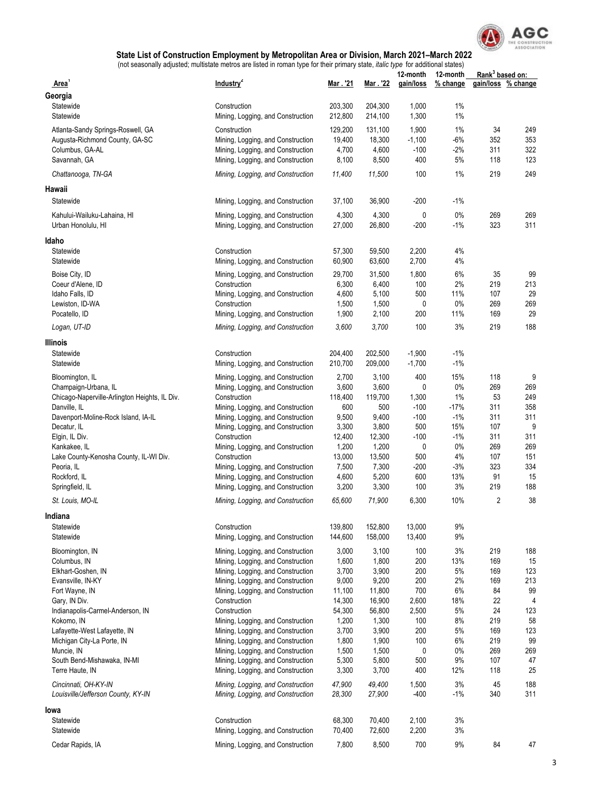

|                                                   |                                                                        |                 |                 | 12-month    | 12-month    | Rank <sup>3</sup> based on: |                    |
|---------------------------------------------------|------------------------------------------------------------------------|-----------------|-----------------|-------------|-------------|-----------------------------|--------------------|
| <b>Area</b>                                       | Industry <sup>2</sup>                                                  | Mar . '21       | Mar . '22       | gain/loss   | % change    |                             | gain/loss % change |
| Georgia                                           |                                                                        |                 |                 |             |             |                             |                    |
| Statewide                                         | Construction                                                           | 203,300         | 204,300         | 1,000       | 1%          |                             |                    |
| Statewide                                         | Mining, Logging, and Construction                                      | 212,800         | 214,100         | 1,300       | $1\%$       |                             |                    |
| Atlanta-Sandy Springs-Roswell, GA                 | Construction                                                           | 129,200         | 131,100         | 1,900       | 1%          | 34                          | 249                |
| Augusta-Richmond County, GA-SC                    | Mining, Logging, and Construction                                      | 19,400          | 18,300          | $-1,100$    | $-6%$       | 352                         | 353                |
| Columbus, GA-AL                                   | Mining, Logging, and Construction                                      | 4,700           | 4,600           | $-100$      | $-2%$       | 311                         | 322                |
| Savannah, GA                                      | Mining, Logging, and Construction                                      | 8,100           | 8,500           | 400         | 5%          | 118                         | 123                |
| Chattanooga, TN-GA                                | Mining, Logging, and Construction                                      | 11,400          | 11,500          | 100         | 1%          | 219                         | 249                |
| Hawaii                                            |                                                                        |                 |                 |             |             |                             |                    |
| Statewide                                         | Mining, Logging, and Construction                                      | 37,100          | 36,900          | $-200$      | $-1%$       |                             |                    |
| Kahului-Wailuku-Lahaina, HI<br>Urban Honolulu, HI | Mining, Logging, and Construction<br>Mining, Logging, and Construction | 4,300<br>27,000 | 4,300<br>26,800 | 0<br>$-200$ | 0%<br>$-1%$ | 269<br>323                  | 269<br>311         |
| Idaho                                             |                                                                        |                 |                 |             |             |                             |                    |
| Statewide                                         | Construction                                                           | 57,300          | 59,500          | 2,200       | 4%          |                             |                    |
| Statewide                                         | Mining, Logging, and Construction                                      | 60,900          | 63,600          | 2,700       | 4%          |                             |                    |
|                                                   |                                                                        |                 |                 |             |             |                             |                    |
| Boise City, ID                                    | Mining, Logging, and Construction                                      | 29,700          | 31,500          | 1,800       | 6%          | 35                          | 99                 |
| Coeur d'Alene, ID                                 | Construction                                                           | 6,300           | 6,400           | 100         | 2%          | 219                         | 213                |
| Idaho Falls, ID                                   | Mining, Logging, and Construction                                      | 4,600           | 5,100           | 500         | 11%         | 107                         | 29                 |
| Lewiston, ID-WA                                   | Construction                                                           | 1,500           | 1,500           | 0           | $0\%$       | 269                         | 269                |
| Pocatello, ID                                     | Mining, Logging, and Construction                                      | 1,900           | 2,100           | 200         | 11%         | 169                         | 29                 |
| Logan, UT-ID                                      | Mining, Logging, and Construction                                      | 3,600           | 3,700           | 100         | 3%          | 219                         | 188                |
| Illinois                                          |                                                                        |                 |                 |             |             |                             |                    |
| Statewide                                         | Construction                                                           | 204,400         | 202,500         | $-1,900$    | $-1%$       |                             |                    |
| Statewide                                         | Mining, Logging, and Construction                                      | 210,700         | 209,000         | $-1,700$    | $-1%$       |                             |                    |
| Bloomington, IL                                   | Mining, Logging, and Construction                                      | 2,700           | 3,100           | 400         | 15%         | 118                         | 9                  |
| Champaign-Urbana, IL                              | Mining, Logging, and Construction                                      | 3,600           | 3,600           | 0           | $0\%$       | 269                         | 269                |
| Chicago-Naperville-Arlington Heights, IL Div.     | Construction                                                           | 118,400         | 119,700         | 1,300       | 1%          | 53                          | 249                |
| Danville, IL                                      | Mining, Logging, and Construction                                      | 600             | 500             | $-100$      | $-17%$      | 311                         | 358                |
| Davenport-Moline-Rock Island, IA-IL               | Mining, Logging, and Construction                                      | 9,500           | 9,400           | $-100$      | $-1%$       | 311                         | 311                |
| Decatur, IL                                       | Mining, Logging, and Construction                                      | 3,300           | 3,800           | 500         | 15%         | 107                         | 9                  |
| Elgin, IL Div.                                    | Construction                                                           | 12,400          | 12,300          | $-100$      | $-1%$       | 311                         | 311                |
| Kankakee, IL                                      | Mining, Logging, and Construction                                      | 1,200           | 1,200           | 0           | $0\%$       | 269                         | 269                |
| Lake County-Kenosha County, IL-WI Div.            | Construction                                                           | 13,000          | 13,500          | 500         | 4%          | 107                         | 151                |
| Peoria, IL                                        | Mining, Logging, and Construction                                      | 7,500           | 7,300           | $-200$      | $-3%$       | 323                         | 334                |
| Rockford, IL                                      | Mining, Logging, and Construction                                      | 4,600           | 5,200           | 600         | 13%         | 91                          | 15                 |
| Springfield, IL                                   | Mining, Logging, and Construction                                      | 3,200           | 3,300           | 100         | 3%          | 219                         | 188                |
| St. Louis, MO-IL                                  | Mining, Logging, and Construction                                      | 65,600          | 71,900          | 6,300       | 10%         | $\overline{2}$              | 38                 |
| Indiana                                           |                                                                        |                 |                 |             |             |                             |                    |
| Statewide                                         | Construction                                                           | 139,800         | 152,800         | 13,000      | 9%          |                             |                    |
| Statewide                                         | Mining, Logging, and Construction                                      | 144,600         | 158,000         | 13,400      | 9%          |                             |                    |
|                                                   |                                                                        |                 |                 |             |             |                             |                    |
| Bloomington, IN                                   | Mining, Logging, and Construction                                      | 3,000           | 3,100           | 100         | 3%          | 219                         | 188                |
| Columbus, IN                                      | Mining, Logging, and Construction                                      | 1,600           | 1,800           | 200         | 13%         | 169                         | 15                 |
| Elkhart-Goshen, IN                                | Mining, Logging, and Construction                                      | 3,700           | 3,900           | 200         | 5%          | 169                         | 123                |
| Evansville, IN-KY                                 | Mining, Logging, and Construction                                      | 9,000           | 9,200           | 200         | 2%          | 169                         | 213                |
| Fort Wayne, IN                                    | Mining, Logging, and Construction                                      | 11,100          | 11,800          | 700         | 6%          | 84                          | 99                 |
| Gary, IN Div.                                     | Construction                                                           | 14,300          | 16,900          | 2,600       | 18%         | 22                          | $\overline{4}$     |
| Indianapolis-Carmel-Anderson, IN                  | Construction                                                           | 54,300          | 56,800          | 2,500       | 5%          | 24                          | 123                |
| Kokomo, IN                                        | Mining, Logging, and Construction                                      | 1,200           | 1,300           | 100         | 8%          | 219                         | 58                 |
| Lafayette-West Lafayette, IN                      | Mining, Logging, and Construction                                      | 3,700           | 3,900           | 200         | 5%          | 169                         | 123                |
| Michigan City-La Porte, IN                        | Mining, Logging, and Construction                                      | 1,800           | 1,900           | 100         | 6%          | 219                         | 99                 |
| Muncie, IN                                        | Mining, Logging, and Construction                                      | 1,500           | 1,500           | 0           | 0%          | 269                         | 269                |
| South Bend-Mishawaka, IN-MI                       | Mining, Logging, and Construction                                      | 5,300           | 5,800           | 500         | 9%          | 107                         | 47                 |
| Terre Haute, IN                                   | Mining, Logging, and Construction                                      | 3,300           | 3,700           | 400         | 12%         | 118                         | 25                 |
| Cincinnati, OH-KY-IN                              | Mining, Logging, and Construction                                      | 47,900          | 49,400          | 1,500       | 3%          | 45                          | 188                |
| Louisville/Jefferson County, KY-IN                | Mining, Logging, and Construction                                      | 28,300          | 27,900          | $-400$      | $-1%$       | 340                         | 311                |
| lowa                                              |                                                                        |                 |                 |             |             |                             |                    |
| Statewide                                         | Construction                                                           | 68,300          | 70,400          | 2,100       | 3%          |                             |                    |
| Statewide                                         | Mining, Logging, and Construction                                      | 70,400          | 72,600          | 2,200       | 3%          |                             |                    |
| Cedar Rapids, IA                                  | Mining, Logging, and Construction                                      | 7,800           | 8,500           | 700         | 9%          | 84                          | 47                 |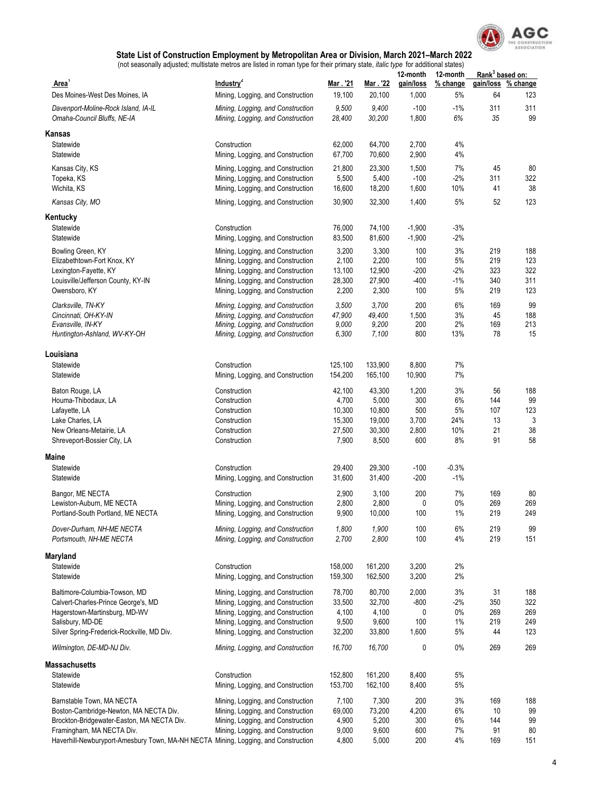

| <b>Area</b>                                                                        | Industry <sup>2</sup>                                                  | Mar. 21         | Mar. 22         | 12-month<br>gain/loss | 12-month<br>$%$ change | Rank <sup>3</sup> based on:<br>gain/loss | % change  |
|------------------------------------------------------------------------------------|------------------------------------------------------------------------|-----------------|-----------------|-----------------------|------------------------|------------------------------------------|-----------|
| Des Moines-West Des Moines, IA                                                     | Mining, Logging, and Construction                                      | 19,100          | 20,100          | 1,000                 | 5%                     | 64                                       | 123       |
| Davenport-Moline-Rock Island, IA-IL<br>Omaha-Council Bluffs, NE-IA                 | Mining, Logging, and Construction<br>Mining, Logging, and Construction | 9,500<br>28,400 | 9,400<br>30,200 | $-100$<br>1,800       | $-1%$<br>6%            | 311<br>35                                | 311<br>99 |
| Kansas                                                                             |                                                                        |                 |                 |                       |                        |                                          |           |
| Statewide                                                                          | Construction                                                           | 62,000          | 64,700          | 2,700                 | 4%                     |                                          |           |
| Statewide                                                                          | Mining, Logging, and Construction                                      | 67,700          | 70,600          | 2,900                 | 4%                     |                                          |           |
| Kansas City, KS                                                                    | Mining, Logging, and Construction                                      | 21,800          | 23,300          | 1,500                 | 7%                     | 45                                       | 80        |
| Topeka, KS                                                                         | Mining, Logging, and Construction                                      | 5,500           | 5,400           | $-100$                | $-2%$                  | 311                                      | 322       |
| Wichita, KS                                                                        | Mining, Logging, and Construction                                      | 16,600          | 18,200          | 1,600                 | 10%                    | 41                                       | 38        |
| Kansas City, MO                                                                    | Mining, Logging, and Construction                                      | 30,900          | 32,300          | 1,400                 | 5%                     | 52                                       | 123       |
| Kentucky                                                                           |                                                                        |                 |                 |                       |                        |                                          |           |
| Statewide                                                                          | Construction                                                           | 76,000          | 74,100          | $-1,900$              | $-3%$                  |                                          |           |
| Statewide                                                                          | Mining, Logging, and Construction                                      | 83,500          | 81,600          | $-1,900$              | $-2%$                  |                                          |           |
| Bowling Green, KY                                                                  | Mining, Logging, and Construction                                      | 3,200           | 3,300           | 100                   | 3%                     | 219                                      | 188       |
| Elizabethtown-Fort Knox, KY                                                        | Mining, Logging, and Construction                                      | 2,100           | 2,200           | 100                   | 5%                     | 219                                      | 123       |
| Lexington-Fayette, KY                                                              | Mining, Logging, and Construction                                      | 13,100          | 12,900          | $-200$                | $-2%$                  | 323                                      | 322       |
| Louisville/Jefferson County, KY-IN                                                 | Mining, Logging, and Construction                                      | 28,300          | 27,900          | $-400$                | $-1%$                  | 340                                      | 311       |
| Owensboro, KY                                                                      | Mining, Logging, and Construction                                      | 2,200           | 2,300           | 100                   | 5%                     | 219                                      | 123       |
| Clarksville, TN-KY                                                                 | Mining, Logging, and Construction                                      | 3,500           | 3,700           | 200                   | 6%                     | 169                                      | 99        |
| Cincinnati, OH-KY-IN                                                               | Mining, Logging, and Construction                                      | 47,900          | 49,400          | 1,500                 | 3%<br>2%               | 45                                       | 188       |
| Evansville, IN-KY<br>Huntington-Ashland, WV-KY-OH                                  | Mining, Logging, and Construction<br>Mining, Logging, and Construction | 9,000<br>6,300  | 9,200<br>7,100  | 200<br>800            | 13%                    | 169<br>78                                | 213<br>15 |
|                                                                                    |                                                                        |                 |                 |                       |                        |                                          |           |
| Louisiana                                                                          |                                                                        |                 |                 |                       |                        |                                          |           |
| Statewide                                                                          | Construction                                                           | 125,100         | 133,900         | 8,800                 | 7%                     |                                          |           |
| Statewide                                                                          | Mining, Logging, and Construction                                      | 154,200         | 165,100         | 10,900                | 7%                     |                                          |           |
| Baton Rouge, LA                                                                    | Construction                                                           | 42,100          | 43,300          | 1,200                 | 3%                     | 56                                       | 188       |
| Houma-Thibodaux, LA                                                                | Construction                                                           | 4,700           | 5,000           | 300                   | 6%                     | 144                                      | 99        |
| Lafayette, LA                                                                      | Construction                                                           | 10,300          | 10,800          | 500                   | 5%                     | 107                                      | 123       |
| Lake Charles, LA                                                                   | Construction                                                           | 15,300          | 19,000          | 3,700                 | 24%                    | 13                                       | 3         |
| New Orleans-Metairie, LA                                                           | Construction                                                           | 27,500          | 30,300          | 2,800<br>600          | 10%                    | 21<br>91                                 | 38<br>58  |
| Shreveport-Bossier City, LA                                                        | Construction                                                           | 7,900           | 8,500           |                       | 8%                     |                                          |           |
| Maine                                                                              |                                                                        |                 |                 |                       |                        |                                          |           |
| Statewide                                                                          | Construction                                                           | 29,400          | 29,300          | $-100$                | $-0.3%$                |                                          |           |
| Statewide                                                                          | Mining, Logging, and Construction                                      | 31,600          | 31,400          | -200                  | $-1%$                  |                                          |           |
| Bangor, ME NECTA                                                                   | Construction                                                           | 2,900           | 3,100           | 200                   | 7%                     | 169                                      | 80        |
| Lewiston-Auburn, ME NECTA                                                          | Mining, Logging, and Construction                                      | 2,800           | 2,800           | 0                     | 0%                     | 269                                      | 269       |
| Portland-South Portland, ME NECTA                                                  | Mining, Logging, and Construction                                      | 9,900           | 10,000          | 100                   | 1%                     | 219                                      | 249       |
| Dover-Durham, NH-ME NECTA                                                          | Mining, Logging, and Construction                                      | 1,800           | 1,900           | 100                   | 6%                     | 219                                      | 99        |
| Portsmouth, NH-ME NECTA                                                            | Mining, Logging, and Construction                                      | 2,700           | 2,800           | 100                   | 4%                     | 219                                      | 151       |
| Maryland                                                                           |                                                                        |                 |                 |                       |                        |                                          |           |
| Statewide                                                                          | Construction                                                           | 158,000         | 161,200         | 3,200                 | 2%                     |                                          |           |
| Statewide                                                                          | Mining, Logging, and Construction                                      | 159,300         | 162,500         | 3,200                 | 2%                     |                                          |           |
| Baltimore-Columbia-Towson, MD                                                      | Mining, Logging, and Construction                                      | 78,700          | 80,700          | 2,000                 | 3%                     | 31                                       | 188       |
| Calvert-Charles-Prince George's, MD                                                | Mining, Logging, and Construction                                      | 33,500          | 32,700          | -800                  | $-2%$                  | 350                                      | 322       |
| Hagerstown-Martinsburg, MD-WV                                                      | Mining, Logging, and Construction                                      | 4,100           | 4,100           | 0                     | 0%                     | 269                                      | 269       |
| Salisbury, MD-DE                                                                   | Mining, Logging, and Construction                                      | 9,500           | 9,600           | 100                   | 1%                     | 219                                      | 249       |
| Silver Spring-Frederick-Rockville, MD Div.                                         | Mining, Logging, and Construction                                      | 32,200          | 33,800          | 1,600                 | 5%                     | 44                                       | 123       |
| Wilmington, DE-MD-NJ Div.                                                          | Mining, Logging, and Construction                                      | 16,700          | 16,700          | 0                     | 0%                     | 269                                      | 269       |
| Massachusetts                                                                      |                                                                        |                 |                 |                       |                        |                                          |           |
| Statewide                                                                          | Construction                                                           | 152,800         | 161,200         | 8,400                 | 5%                     |                                          |           |
| Statewide                                                                          | Mining, Logging, and Construction                                      | 153,700         | 162,100         | 8,400                 | 5%                     |                                          |           |
| Barnstable Town, MA NECTA                                                          | Mining, Logging, and Construction                                      | 7,100           | 7,300           | 200                   | 3%                     | 169                                      | 188       |
| Boston-Cambridge-Newton, MA NECTA Div.                                             | Mining, Logging, and Construction                                      | 69,000          | 73,200          | 4,200                 | 6%                     | 10                                       | 99        |
| Brockton-Bridgewater-Easton, MA NECTA Div.                                         | Mining, Logging, and Construction                                      | 4,900           | 5,200           | 300                   | 6%                     | 144                                      | 99        |
| Framingham, MA NECTA Div.                                                          | Mining, Logging, and Construction                                      | 9,000           | 9,600           | 600                   | 7%                     | 91                                       | 80        |
| Haverhill-Newburyport-Amesbury Town, MA-NH NECTA Mining, Logging, and Construction |                                                                        | 4,800           | 5,000           | 200                   | 4%                     | 169                                      | 151       |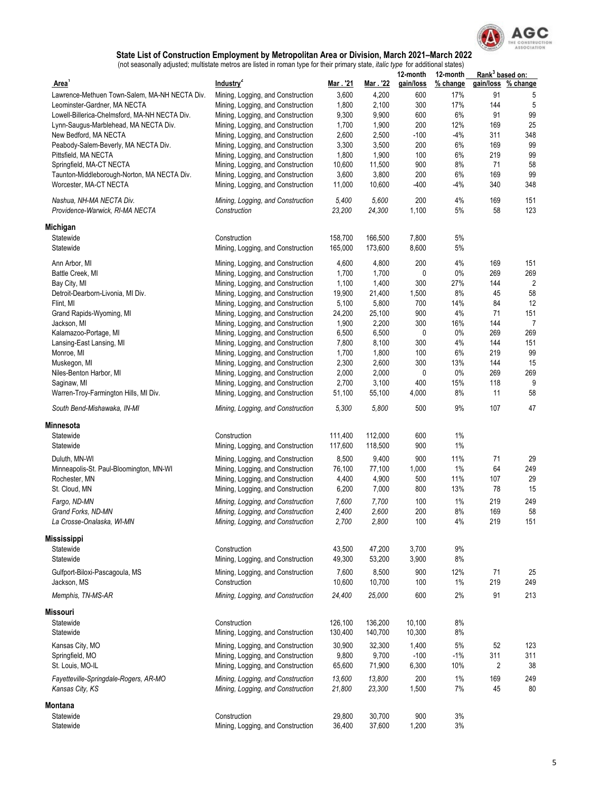

|                                                             |                                                   |                 |                 | 12-month     | 12-month | Rank <sup>3</sup> based on: |                |
|-------------------------------------------------------------|---------------------------------------------------|-----------------|-----------------|--------------|----------|-----------------------------|----------------|
| Area'                                                       | Industry <sup>2</sup>                             | Mar. 21         | Mar. '22        | gain/loss    | % change | gain/loss                   | % change       |
| Lawrence-Methuen Town-Salem, MA-NH NECTA Div.               | Mining, Logging, and Construction                 | 3,600           | 4,200           | 600          | 17%      | 91                          | 5              |
| Leominster-Gardner, MA NECTA                                | Mining, Logging, and Construction                 | 1,800           | 2,100           | 300          | 17%      | 144                         | 5              |
| Lowell-Billerica-Chelmsford, MA-NH NECTA Div.               | Mining, Logging, and Construction                 | 9,300           | 9,900           | 600          | 6%       | 91                          | 99             |
| Lynn-Saugus-Marblehead, MA NECTA Div.                       | Mining, Logging, and Construction                 | 1,700           | 1,900           | 200          | 12%      | 169                         | 25             |
| New Bedford, MA NECTA                                       | Mining, Logging, and Construction                 | 2,600           | 2,500           | $-100$       | $-4%$    | 311                         | 348            |
| Peabody-Salem-Beverly, MA NECTA Div.                        | Mining, Logging, and Construction                 | 3,300           | 3,500           | 200          | 6%       | 169                         | 99             |
| Pittsfield, MA NECTA                                        | Mining, Logging, and Construction                 | 1,800           | 1,900           | 100          | 6%       | 219                         | 99             |
| Springfield, MA-CT NECTA                                    | Mining, Logging, and Construction                 | 10,600          | 11,500          | 900          | 8%       | 71                          | 58             |
| Taunton-Middleborough-Norton, MA NECTA Div.                 | Mining, Logging, and Construction                 | 3,600           | 3,800           | 200          | 6%       | 169                         | 99             |
| Worcester, MA-CT NECTA                                      | Mining, Logging, and Construction                 | 11,000          | 10,600          | $-400$       | -4%      | 340                         | 348            |
| Nashua, NH-MA NECTA Div.<br>Providence-Warwick, RI-MA NECTA | Mining, Logging, and Construction<br>Construction | 5,400<br>23,200 | 5,600<br>24,300 | 200<br>1,100 | 4%<br>5% | 169<br>58                   | 151<br>123     |
| Michigan                                                    |                                                   |                 |                 |              |          |                             |                |
| Statewide                                                   | Construction                                      | 158,700         | 166,500         | 7,800        | 5%       |                             |                |
| Statewide                                                   | Mining, Logging, and Construction                 | 165,000         | 173,600         | 8,600        | 5%       |                             |                |
| Ann Arbor, MI                                               | Mining, Logging, and Construction                 | 4,600           | 4,800           | 200          | 4%       | 169                         | 151            |
| Battle Creek, MI                                            | Mining, Logging, and Construction                 | 1,700           | 1,700           | 0            | 0%       | 269                         | 269            |
| Bay City, MI                                                | Mining, Logging, and Construction                 | 1,100           | 1,400           | 300          | 27%      | 144                         | $\overline{2}$ |
| Detroit-Dearborn-Livonia, MI Div.                           | Mining, Logging, and Construction                 | 19,900          | 21,400          | 1,500        | 8%       | 45                          | 58             |
| Flint, MI                                                   | Mining, Logging, and Construction                 | 5,100           | 5,800           | 700          | 14%      | 84                          | 12             |
| Grand Rapids-Wyoming, MI                                    | Mining, Logging, and Construction                 | 24,200          | 25,100          | 900          | 4%       | 71                          | 151            |
| Jackson, MI                                                 | Mining, Logging, and Construction                 | 1,900           | 2,200           | 300          | 16%      | 144                         | 7              |
| Kalamazoo-Portage, MI                                       | Mining, Logging, and Construction                 | 6,500           | 6,500           | 0            | $0\%$    | 269                         | 269            |
| Lansing-East Lansing, MI                                    | Mining, Logging, and Construction                 | 7,800           | 8,100           | 300          | 4%       | 144                         | 151            |
| Monroe, MI                                                  | Mining, Logging, and Construction                 | 1,700           | 1,800           | 100          | 6%       | 219                         | 99             |
| Muskegon, MI                                                | Mining, Logging, and Construction                 | 2,300           | 2,600           | 300          | 13%      | 144                         | 15             |
| Niles-Benton Harbor, MI                                     | Mining, Logging, and Construction                 | 2,000           | 2,000           | 0            | $0\%$    | 269                         | 269            |
| Saginaw, MI                                                 | Mining, Logging, and Construction                 | 2,700           | 3,100           | 400          | 15%      | 118                         | 9              |
| Warren-Troy-Farmington Hills, MI Div.                       | Mining, Logging, and Construction                 | 51,100          | 55,100          | 4,000        | 8%       | 11                          | 58             |
| South Bend-Mishawaka, IN-MI                                 | Mining, Logging, and Construction                 | 5,300           | 5,800           | 500          | 9%       | 107                         | 47             |
| Minnesota                                                   |                                                   |                 |                 |              |          |                             |                |
| Statewide                                                   | Construction                                      | 111,400         | 112,000         | 600          | 1%       |                             |                |
| Statewide                                                   | Mining, Logging, and Construction                 | 117,600         | 118,500         | 900          | 1%       |                             |                |
| Duluth, MN-WI                                               | Mining, Logging, and Construction                 | 8,500           | 9,400           | 900          | 11%      | 71                          | 29             |
| Minneapolis-St. Paul-Bloomington, MN-WI                     | Mining, Logging, and Construction                 | 76,100          | 77,100          | 1,000        | 1%       | 64                          | 249            |
| Rochester, MN                                               | Mining, Logging, and Construction                 | 4,400           | 4,900           | 500          | 11%      | 107                         | 29             |
| St. Cloud, MN                                               | Mining, Logging, and Construction                 | 6,200           | 7,000           | 800          | 13%      | 78                          | 15             |
| Fargo, ND-MN                                                | Mining, Logging, and Construction                 | 7,600           | 7,700           | 100          | 1%       | 219                         | 249            |
| Grand Forks, ND-MN                                          | Mining, Logging, and Construction                 | 2,400           | 2,600           | 200          | 8%       | 169                         | 58             |
| La Crosse-Onalaska, WI-MN                                   | Mining, Logging, and Construction                 | 2,700           | 2,800           | 100          | 4%       | 219                         | 151            |
|                                                             |                                                   |                 |                 |              |          |                             |                |
| <b>Mississippi</b>                                          |                                                   |                 |                 |              |          |                             |                |
| Statewide                                                   | Construction                                      | 43,500          | 47,200          | 3,700        | $9\%$    |                             |                |
| Statewide                                                   | Mining, Logging, and Construction                 | 49,300          | 53,200          | 3,900        | 8%       |                             |                |
| Gulfport-Biloxi-Pascagoula, MS                              | Mining, Logging, and Construction                 | 7,600           | 8,500           | 900          | 12%      | 71                          | 25             |
| Jackson, MS                                                 | Construction                                      | 10,600          | 10,700          | 100          | $1\%$    | 219                         | 249            |
| Memphis, TN-MS-AR                                           | Mining, Logging, and Construction                 | 24,400          | 25,000          | 600          | 2%       | 91                          | 213            |
| Missouri                                                    |                                                   |                 |                 |              |          |                             |                |
| Statewide                                                   | Construction                                      | 126,100         | 136,200         | 10,100       | 8%       |                             |                |
| Statewide                                                   | Mining, Logging, and Construction                 | 130,400         | 140,700         | 10,300       | 8%       |                             |                |
| Kansas City, MO                                             | Mining, Logging, and Construction                 | 30,900          | 32,300          | 1,400        | 5%       | 52                          | 123            |
| Springfield, MO                                             | Mining, Logging, and Construction                 | 9,800           | 9,700           | $-100$       | $-1%$    | 311                         | 311            |
| St. Louis, MO-IL                                            | Mining, Logging, and Construction                 | 65,600          | 71,900          | 6,300        | 10%      | 2                           | 38             |
| Fayetteville-Springdale-Rogers, AR-MO                       | Mining, Logging, and Construction                 | 13,600          | 13,800          | 200          | $1\%$    | 169                         | 249            |
| Kansas City, KS                                             | Mining, Logging, and Construction                 | 21,800          | 23,300          | 1,500        | 7%       | 45                          | 80             |
| Montana                                                     |                                                   |                 |                 |              |          |                             |                |
| Statewide                                                   | Construction                                      | 29,800          | 30,700          | 900          | 3%       |                             |                |
| Statewide                                                   | Mining, Logging, and Construction                 | 36,400          | 37,600          | 1,200        | 3%       |                             |                |
|                                                             |                                                   |                 |                 |              |          |                             |                |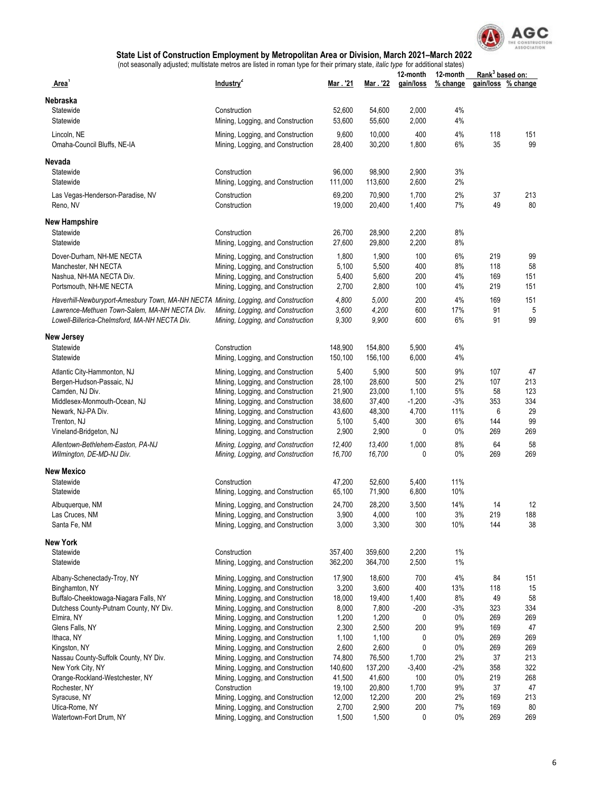

|                                                                                    |                                                                        |                  |                  | 12-month     | 12-month | Rank <sup>3</sup> based on: |                    |
|------------------------------------------------------------------------------------|------------------------------------------------------------------------|------------------|------------------|--------------|----------|-----------------------------|--------------------|
| Area                                                                               | Industry <sup>2</sup>                                                  | Mar. '21         | Mar . '22        | gain/loss    | % change |                             | gain/loss % change |
| Nebraska                                                                           |                                                                        |                  |                  |              |          |                             |                    |
| Statewide                                                                          | Construction                                                           | 52,600           | 54,600           | 2,000        | 4%       |                             |                    |
| Statewide                                                                          | Mining, Logging, and Construction                                      | 53,600           | 55,600           | 2,000        | 4%       |                             |                    |
| Lincoln, NE                                                                        | Mining, Logging, and Construction                                      | 9,600            | 10,000           | 400          | 4%       | 118                         | 151                |
| Omaha-Council Bluffs, NE-IA                                                        | Mining, Logging, and Construction                                      | 28,400           | 30,200           | 1,800        | 6%       | 35                          | 99                 |
| Nevada                                                                             |                                                                        |                  |                  |              |          |                             |                    |
| Statewide                                                                          | Construction                                                           | 96,000           | 98,900           | 2,900        | 3%       |                             |                    |
| Statewide                                                                          | Mining, Logging, and Construction                                      | 111,000          | 113,600          | 2,600        | 2%       |                             |                    |
| Las Vegas-Henderson-Paradise, NV                                                   | Construction                                                           | 69,200           | 70,900           | 1,700        | 2%       | 37                          | 213                |
| Reno, NV                                                                           | Construction                                                           | 19,000           | 20,400           | 1,400        | 7%       | 49                          | 80                 |
| New Hampshire                                                                      |                                                                        |                  |                  |              |          |                             |                    |
| Statewide                                                                          | Construction                                                           | 26,700           | 28,900           | 2,200        | 8%       |                             |                    |
| Statewide                                                                          | Mining, Logging, and Construction                                      | 27,600           | 29,800           | 2,200        | 8%       |                             |                    |
| Dover-Durham, NH-ME NECTA                                                          | Mining, Logging, and Construction                                      | 1,800            | 1,900            | 100          | 6%       | 219                         | 99                 |
| Manchester, NH NECTA                                                               | Mining, Logging, and Construction                                      | 5,100            | 5,500            | 400          | 8%       | 118                         | 58                 |
| Nashua, NH-MA NECTA Div.                                                           | Mining, Logging, and Construction                                      | 5,400            | 5,600            | 200          | 4%       | 169                         | 151                |
| Portsmouth, NH-ME NECTA                                                            | Mining, Logging, and Construction                                      | 2,700            | 2,800            | 100          | 4%       | 219                         | 151                |
| Haverhill-Newburyport-Amesbury Town, MA-NH NECTA Mining, Logging, and Construction |                                                                        | 4,800            | 5,000            | 200          | 4%       | 169                         | 151                |
| Lawrence-Methuen Town-Salem, MA-NH NECTA Div.                                      | Mining, Logging, and Construction                                      | 3,600            | 4,200            | 600          | 17%      | 91                          | 5                  |
| Lowell-Billerica-Chelmsford, MA-NH NECTA Div.                                      | Mining, Logging, and Construction                                      | 9,300            | 9,900            | 600          | 6%       | 91                          | 99                 |
| New Jersey                                                                         |                                                                        |                  |                  |              |          |                             |                    |
| Statewide                                                                          | Construction                                                           | 148,900          | 154,800          | 5,900        | 4%       |                             |                    |
| Statewide                                                                          | Mining, Logging, and Construction                                      | 150,100          | 156,100          | 6,000        | 4%       |                             |                    |
|                                                                                    |                                                                        | 5,400            | 5,900            | 500          | 9%       | 107                         | 47                 |
| Atlantic City-Hammonton, NJ<br>Bergen-Hudson-Passaic, NJ                           | Mining, Logging, and Construction<br>Mining, Logging, and Construction | 28,100           | 28,600           | 500          | 2%       | 107                         | 213                |
| Camden, NJ Div.                                                                    | Mining, Logging, and Construction                                      | 21,900           | 23,000           | 1,100        | 5%       | 58                          | 123                |
| Middlesex-Monmouth-Ocean, NJ                                                       | Mining, Logging, and Construction                                      | 38,600           | 37,400           | $-1,200$     | -3%      | 353                         | 334                |
| Newark, NJ-PA Div.                                                                 | Mining, Logging, and Construction                                      | 43,600           | 48,300           | 4,700        | 11%      | 6                           | 29                 |
| Trenton, NJ                                                                        | Mining, Logging, and Construction                                      | 5,100            | 5,400            | 300          | 6%       | 144                         | 99                 |
| Vineland-Bridgeton, NJ                                                             | Mining, Logging, and Construction                                      | 2,900            | 2,900            | 0            | $0\%$    | 269                         | 269                |
| Allentown-Bethlehem-Easton, PA-NJ                                                  | Mining, Logging, and Construction                                      | 12,400           | 13,400           | 1,000        | 8%       | 64                          | 58                 |
| Wilmington, DE-MD-NJ Div.                                                          | Mining, Logging, and Construction                                      | 16,700           | 16,700           | 0            | 0%       | 269                         | 269                |
| New Mexico                                                                         |                                                                        |                  |                  |              |          |                             |                    |
| Statewide                                                                          | Construction                                                           | 47,200           | 52,600           | 5,400        | 11%      |                             |                    |
| Statewide                                                                          | Mining, Logging, and Construction                                      | 65,100           | 71,900           | 6,800        | 10%      |                             |                    |
| Albuquerque, NM                                                                    | Mining, Logging, and Construction                                      | 24,700           | 28,200           | 3,500        | 14%      | 14                          | 12                 |
| Las Cruces, NM                                                                     | Mining, Logging, and Construction                                      | 3,900            | 4,000            | 100          | 3%       | 219                         | 188                |
| Santa Fe, NM                                                                       | Mining, Logging, and Construction                                      | 3,000            | 3,300            | 300          | 10%      | 144                         | 38                 |
| New York                                                                           |                                                                        |                  |                  |              |          |                             |                    |
| Statewide                                                                          | Construction                                                           | 357,400          | 359,600          | 2,200        | 1%       |                             |                    |
| Statewide                                                                          | Mining, Logging, and Construction                                      | 362,200          | 364,700          | 2,500        | $1\%$    |                             |                    |
| Albany-Schenectady-Troy, NY                                                        | Mining, Logging, and Construction                                      | 17,900           | 18,600           | 700          | 4%       | 84                          | 151                |
| Binghamton, NY                                                                     | Mining, Logging, and Construction                                      | 3,200            | 3,600            | 400          | 13%      | 118                         | 15                 |
| Buffalo-Cheektowaga-Niagara Falls, NY                                              | Mining, Logging, and Construction                                      | 18,000           | 19,400           | 1,400        | 8%       | 49                          | 58                 |
| Dutchess County-Putnam County, NY Div.                                             | Mining, Logging, and Construction                                      | 8,000            | 7,800            | $-200$       | -3%      | 323                         | 334                |
| Elmira, NY                                                                         | Mining, Logging, and Construction                                      | 1,200            | 1,200            | 0            | 0%       | 269                         | 269                |
| Glens Falls, NY                                                                    | Mining, Logging, and Construction                                      | 2,300            | 2,500            | 200          | 9%       | 169                         | 47                 |
| Ithaca, NY                                                                         | Mining, Logging, and Construction                                      | 1,100            | 1,100            | 0            | 0%       | 269                         | 269                |
| Kingston, NY                                                                       | Mining, Logging, and Construction                                      | 2,600            | 2,600            | 0            | 0%       | 269                         | 269                |
| Nassau County-Suffolk County, NY Div.                                              | Mining, Logging, and Construction                                      | 74,800           | 76,500           | 1,700        | 2%       | 37                          | 213                |
| New York City, NY                                                                  | Mining, Logging, and Construction                                      | 140,600          | 137,200          | $-3,400$     | -2%      | 358                         | 322                |
| Orange-Rockland-Westchester, NY<br>Rochester, NY                                   | Mining, Logging, and Construction<br>Construction                      | 41,500<br>19,100 | 41,600<br>20,800 | 100<br>1,700 | 0%<br>9% | 219<br>37                   | 268<br>47          |
| Syracuse, NY                                                                       | Mining, Logging, and Construction                                      | 12,000           | 12,200           | 200          | 2%       | 169                         | 213                |
| Utica-Rome, NY                                                                     | Mining, Logging, and Construction                                      | 2,700            | 2,900            | 200          | 7%       | 169                         | 80                 |
| Watertown-Fort Drum, NY                                                            | Mining, Logging, and Construction                                      | 1,500            | 1,500            | 0            | $0\%$    | 269                         | 269                |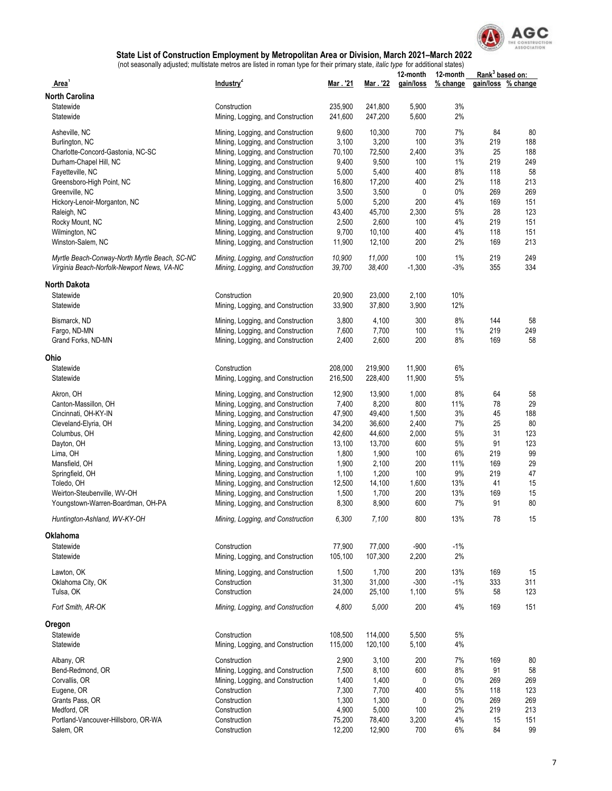

|                                               |                                   |                |                | 12-month   | 12-month | Rank <sup>3</sup> based on: |                    |
|-----------------------------------------------|-----------------------------------|----------------|----------------|------------|----------|-----------------------------|--------------------|
| Area <sup>'</sup>                             | Industry <sup>2</sup>             | Mar . '21      | Mar . '22      | gain/loss  | % change |                             | gain/loss % change |
| <b>North Carolina</b>                         |                                   |                |                |            |          |                             |                    |
| Statewide                                     | Construction                      | 235,900        | 241,800        | 5,900      | 3%       |                             |                    |
| Statewide                                     | Mining, Logging, and Construction | 241,600        | 247,200        | 5,600      | 2%       |                             |                    |
| Asheville, NC                                 | Mining, Logging, and Construction | 9,600          | 10,300         | 700        | 7%       | 84                          | 80                 |
| Burlington, NC                                | Mining, Logging, and Construction | 3,100          | 3,200          | 100        | 3%       | 219                         | 188                |
| Charlotte-Concord-Gastonia, NC-SC             | Mining, Logging, and Construction | 70,100         | 72,500         | 2,400      | 3%       | 25                          | 188                |
| Durham-Chapel Hill, NC                        | Mining, Logging, and Construction | 9,400          | 9,500          | 100        | 1%       | 219                         | 249                |
|                                               |                                   | 5,000          | 5,400          | 400        | 8%       | 118                         | 58                 |
| Fayetteville, NC<br>Greensboro-High Point, NC | Mining, Logging, and Construction |                |                | 400        | 2%       | 118                         | 213                |
|                                               | Mining, Logging, and Construction | 16,800         | 17,200         |            |          |                             |                    |
| Greenville, NC                                | Mining, Logging, and Construction | 3,500          | 3,500          | 0          | 0%       | 269                         | 269                |
| Hickory-Lenoir-Morganton, NC                  | Mining, Logging, and Construction | 5,000          | 5,200          | 200        | 4%       | 169                         | 151                |
| Raleigh, NC                                   | Mining, Logging, and Construction | 43,400         | 45,700         | 2,300      | 5%       | 28                          | 123                |
| Rocky Mount, NC                               | Mining, Logging, and Construction | 2,500          | 2,600          | 100        | 4%       | 219                         | 151                |
| Wilmington, NC                                | Mining, Logging, and Construction | 9,700          | 10,100         | 400        | 4%       | 118                         | 151                |
| Winston-Salem, NC                             | Mining, Logging, and Construction | 11,900         | 12,100         | 200        | 2%       | 169                         | 213                |
| Myrtle Beach-Conway-North Myrtle Beach, SC-NC | Mining, Logging, and Construction | 10,900         | 11,000         | 100        | 1%       | 219                         | 249                |
| Virginia Beach-Norfolk-Newport News, VA-NC    | Mining, Logging, and Construction | 39,700         | 38,400         | $-1,300$   | $-3%$    | 355                         | 334                |
| <b>North Dakota</b>                           |                                   |                |                |            |          |                             |                    |
| Statewide                                     | Construction                      | 20,900         | 23,000         | 2,100      | 10%      |                             |                    |
| Statewide                                     | Mining, Logging, and Construction | 33,900         | 37,800         | 3,900      | 12%      |                             |                    |
|                                               |                                   |                |                |            | 8%       | 144                         | 58                 |
| Bismarck, ND                                  | Mining, Logging, and Construction | 3,800          | 4,100          | 300        |          | 219                         |                    |
| Fargo, ND-MN                                  | Mining, Logging, and Construction | 7,600<br>2,400 | 7,700<br>2,600 | 100<br>200 | 1%<br>8% | 169                         | 249<br>58          |
| Grand Forks, ND-MN                            | Mining, Logging, and Construction |                |                |            |          |                             |                    |
| Ohio                                          |                                   |                |                |            |          |                             |                    |
| Statewide                                     | Construction                      | 208,000        | 219,900        | 11,900     | 6%       |                             |                    |
| Statewide                                     | Mining, Logging, and Construction | 216,500        | 228,400        | 11,900     | 5%       |                             |                    |
|                                               |                                   |                |                |            | 8%       | 64                          | 58                 |
| Akron, OH                                     | Mining, Logging, and Construction | 12,900         | 13,900         | 1,000      |          |                             |                    |
| Canton-Massillon, OH                          | Mining, Logging, and Construction | 7,400          | 8,200          | 800        | 11%      | 78                          | 29                 |
| Cincinnati, OH-KY-IN                          | Mining, Logging, and Construction | 47,900         | 49,400         | 1,500      | 3%       | 45                          | 188                |
| Cleveland-Elyria, OH                          | Mining, Logging, and Construction | 34,200         | 36,600         | 2,400      | 7%       | 25                          | 80                 |
| Columbus, OH                                  | Mining, Logging, and Construction | 42,600         | 44,600         | 2,000      | 5%       | 31                          | 123                |
| Dayton, OH                                    | Mining, Logging, and Construction | 13,100         | 13,700         | 600        | 5%       | 91                          | 123                |
| Lima, OH                                      | Mining, Logging, and Construction | 1,800          | 1,900          | 100        | 6%       | 219                         | 99                 |
| Mansfield, OH                                 | Mining, Logging, and Construction | 1,900          | 2,100          | 200        | 11%      | 169                         | 29                 |
| Springfield, OH                               | Mining, Logging, and Construction | 1,100          | 1,200          | 100        | 9%       | 219                         | 47                 |
| Toledo, OH                                    | Mining, Logging, and Construction | 12,500         | 14,100         | 1,600      | 13%      | 41                          | 15                 |
| Weirton-Steubenville, WV-OH                   | Mining, Logging, and Construction | 1,500          | 1,700          | 200        | 13%      | 169                         | 15                 |
| Youngstown-Warren-Boardman, OH-PA             | Mining, Logging, and Construction | 8,300          | 8,900          | 600        | 7%       | 91                          | 80                 |
| Huntington-Ashland, WV-KY-OH                  | Mining, Logging, and Construction | 6,300          | 7,100          | 800        | 13%      | 78                          | 15                 |
| Oklahoma                                      |                                   |                |                |            |          |                             |                    |
| Statewide                                     | Construction                      | 77,900         | 77,000         | $-900$     | $-1%$    |                             |                    |
| Statewide                                     | Mining, Logging, and Construction | 105,100        | 107,300        | 2,200      | 2%       |                             |                    |
|                                               |                                   |                |                |            |          |                             |                    |
| Lawton, OK                                    | Mining, Logging, and Construction | 1,500          | 1,700          | 200        | 13%      | 169                         | 15                 |
| Oklahoma City, OK                             | Construction                      | 31,300         | 31,000         | $-300$     | $-1%$    | 333                         | 311                |
| Tulsa, OK                                     | Construction                      | 24,000         | 25,100         | 1,100      | 5%       | 58                          | 123                |
| Fort Smith, AR-OK                             | Mining, Logging, and Construction | 4,800          | 5,000          | 200        | 4%       | 169                         | 151                |
| Oregon                                        |                                   |                |                |            |          |                             |                    |
| Statewide                                     | Construction                      | 108,500        | 114,000        | 5,500      | 5%       |                             |                    |
| Statewide                                     | Mining, Logging, and Construction | 115,000        | 120,100        | 5,100      | 4%       |                             |                    |
| Albany, OR                                    | Construction                      | 2,900          | 3,100          | 200        | 7%       | 169                         | 80                 |
| Bend-Redmond, OR                              | Mining, Logging, and Construction | 7,500          | 8,100          | 600        | 8%       | 91                          | 58                 |
|                                               |                                   |                |                |            |          |                             |                    |
| Corvallis, OR                                 | Mining, Logging, and Construction | 1,400          | 1,400          | 0          | 0%       | 269                         | 269                |
| Eugene, OR                                    | Construction                      | 7,300          | 7,700          | 400        | 5%       | 118                         | 123                |
| Grants Pass, OR                               | Construction                      | 1,300          | 1,300          | 0          | 0%       | 269                         | 269                |
| Medford, OR                                   | Construction                      | 4,900          | 5,000          | 100        | 2%       | 219                         | 213                |
| Portland-Vancouver-Hillsboro, OR-WA           | Construction                      | 75,200         | 78,400         | 3,200      | 4%       | 15                          | 151                |
| Salem, OR                                     | Construction                      | 12,200         | 12,900         | 700        | 6%       | 84                          | 99                 |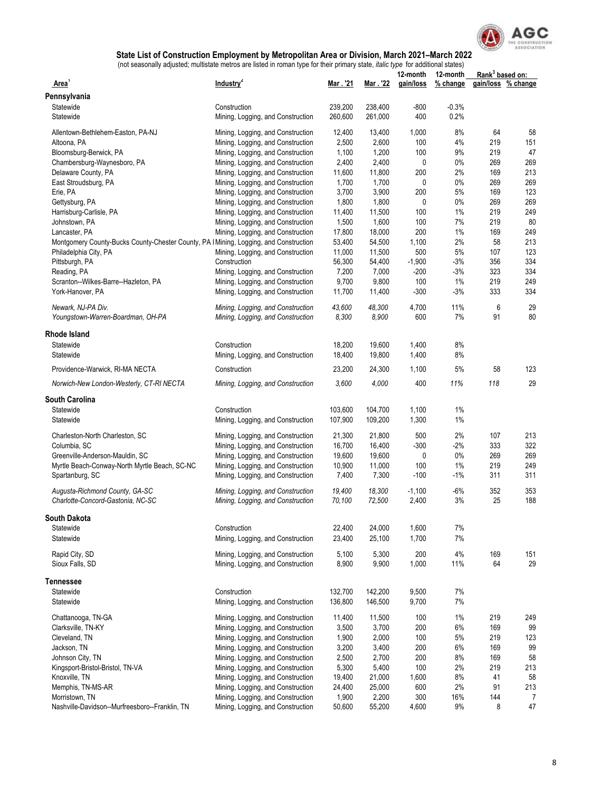

|                                                                                       |                                   |                 |                 | 12-month  | 12-month     | Rank <sup>3</sup> based on: |                    |
|---------------------------------------------------------------------------------------|-----------------------------------|-----------------|-----------------|-----------|--------------|-----------------------------|--------------------|
| Area'                                                                                 | Industry <sup>2</sup>             | Mar . '21       | Mar . '22       | gain/loss | % change     |                             | gain/loss % change |
| Pennsylvania                                                                          |                                   |                 |                 |           |              |                             |                    |
| Statewide                                                                             | Construction                      | 239,200         | 238,400         | $-800$    | $-0.3%$      |                             |                    |
| Statewide                                                                             | Mining, Logging, and Construction | 260,600         | 261,000         | 400       | 0.2%         |                             |                    |
| Allentown-Bethlehem-Easton, PA-NJ                                                     | Mining, Logging, and Construction | 12,400          | 13,400          | 1,000     | 8%           | 64                          | 58                 |
| Altoona, PA                                                                           | Mining, Logging, and Construction | 2,500           | 2,600           | 100       | 4%           | 219                         | 151                |
| Bloomsburg-Berwick, PA                                                                | Mining, Logging, and Construction | 1,100           | 1,200           | 100       | 9%           | 219                         | 47                 |
| Chambersburg-Waynesboro, PA                                                           | Mining, Logging, and Construction | 2,400           | 2,400           | 0         | 0%           | 269                         | 269                |
| Delaware County, PA                                                                   | Mining, Logging, and Construction | 11,600          | 11,800          | 200       | 2%           | 169                         | 213                |
| East Stroudsburg, PA                                                                  | Mining, Logging, and Construction | 1,700           | 1,700           | 0         | $0\%$        | 269                         | 269                |
| Erie, PA                                                                              | Mining, Logging, and Construction | 3,700           | 3,900           | 200       | 5%           | 169                         | 123                |
| Gettysburg, PA                                                                        | Mining, Logging, and Construction | 1,800           | 1,800           | 0         | $0\%$        | 269                         | 269                |
| Harrisburg-Carlisle, PA                                                               | Mining, Logging, and Construction | 11,400          | 11,500          | 100       | 1%           | 219                         | 249                |
| Johnstown, PA                                                                         | Mining, Logging, and Construction | 1,500           | 1,600           | 100       | 7%           | 219                         | 80                 |
| Lancaster, PA                                                                         | Mining, Logging, and Construction | 17,800          | 18,000          | 200       | 1%           | 169                         | 249                |
| Montgomery County-Bucks County-Chester County, PA   Mining, Logging, and Construction |                                   | 53,400          | 54,500          | 1,100     | $2\%$        | 58                          | 213                |
| Philadelphia City, PA                                                                 | Mining, Logging, and Construction | 11,000          | 11,500          | 500       | 5%           | 107                         | 123                |
| Pittsburgh, PA                                                                        | Construction                      | 56,300          | 54,400          | $-1,900$  | $-3%$        | 356                         | 334                |
| Reading, PA                                                                           | Mining, Logging, and Construction | 7,200           | 7,000           | $-200$    | $-3%$        | 323                         | 334                |
| Scranton--Wilkes-Barre--Hazleton, PA                                                  | Mining, Logging, and Construction | 9,700           | 9,800           | 100       | 1%           | 219                         | 249                |
| York-Hanover, PA                                                                      | Mining, Logging, and Construction | 11,700          | 11,400          | $-300$    | $-3%$        | 333                         | 334                |
| Newark, NJ-PA Div.                                                                    | Mining, Logging, and Construction | 43,600          | 48,300          | 4,700     | 11%          | 6                           | 29                 |
| Youngstown-Warren-Boardman, OH-PA                                                     | Mining, Logging, and Construction | 8,300           | 8,900           | 600       | 7%           | 91                          | 80                 |
|                                                                                       |                                   |                 |                 |           |              |                             |                    |
| Rhode Island                                                                          |                                   |                 |                 |           |              |                             |                    |
| Statewide                                                                             | Construction                      | 18,200          | 19,600          | 1,400     | 8%           |                             |                    |
| Statewide                                                                             | Mining, Logging, and Construction | 18,400          | 19,800          | 1,400     | 8%           |                             |                    |
| Providence-Warwick, RI-MA NECTA                                                       | Construction                      | 23,200          | 24,300          | 1,100     | 5%           | 58                          | 123                |
| Norwich-New London-Westerly, CT-RI NECTA                                              | Mining, Logging, and Construction | 3,600           | 4,000           | 400       | 11%          | 118                         | 29                 |
| <b>South Carolina</b>                                                                 |                                   |                 |                 |           |              |                             |                    |
| Statewide                                                                             | Construction                      | 103,600         | 104,700         | 1,100     | 1%           |                             |                    |
| Statewide                                                                             | Mining, Logging, and Construction | 107,900         | 109,200         | 1,300     | 1%           |                             |                    |
|                                                                                       |                                   |                 |                 |           |              |                             |                    |
| Charleston-North Charleston, SC                                                       | Mining, Logging, and Construction | 21,300          | 21,800          | 500       | 2%           | 107                         | 213                |
| Columbia, SC                                                                          | Mining, Logging, and Construction | 16,700          | 16,400          | $-300$    | $-2%$        | 333                         | 322                |
| Greenville-Anderson-Mauldin, SC                                                       | Mining, Logging, and Construction | 19,600          | 19,600          | 0         | 0%           | 269                         | 269                |
| Myrtle Beach-Conway-North Myrtle Beach, SC-NC                                         | Mining, Logging, and Construction | 10,900          | 11,000          | 100       | 1%           | 219                         | 249                |
| Spartanburg, SC                                                                       | Mining, Logging, and Construction | 7,400           | 7,300           | $-100$    | $-1%$        | 311                         | 311                |
| Augusta-Richmond County, GA-SC                                                        | Mining, Logging, and Construction | 19,400          | 18,300          | $-1,100$  | $-6%$        | 352                         | 353                |
| Charlotte-Concord-Gastonia, NC-SC                                                     | Mining, Logging, and Construction | 70,100          | 72,500          | 2,400     | 3%           | 25                          | 188                |
| South Dakota                                                                          |                                   |                 |                 |           |              |                             |                    |
| Statewide                                                                             | Construction                      | 22,400          | 24,000          | 1,600     | 7%           |                             |                    |
| Statewide                                                                             | Mining, Logging, and Construction | 23,400          | 25,100          | 1,700     | 7%           |                             |                    |
|                                                                                       |                                   |                 |                 |           |              |                             |                    |
| Rapid City, SD                                                                        | Mining, Logging, and Construction | 5,100           | 5,300           | 200       | $4\%$        | 169                         | 151                |
| Sioux Falls, SD                                                                       | Mining, Logging, and Construction | 8,900           | 9,900           | 1,000     | 11%          | 64                          | 29                 |
| Tennessee                                                                             |                                   |                 |                 |           |              |                             |                    |
| Statewide                                                                             | Construction                      | 132,700         | 142,200         | 9,500     | 7%           |                             |                    |
| Statewide                                                                             | Mining, Logging, and Construction | 136,800         | 146,500         | 9,700     | $7\%$        |                             |                    |
|                                                                                       |                                   |                 |                 |           |              |                             |                    |
| Chattanooga, TN-GA                                                                    | Mining, Logging, and Construction | 11,400          | 11,500          | 100       | 1%           | 219                         | 249                |
| Clarksville, TN-KY                                                                    | Mining, Logging, and Construction | 3,500           | 3,700           | 200       | 6%           | 169                         | 99                 |
| Cleveland, TN                                                                         | Mining, Logging, and Construction | 1,900           | 2,000           | 100       | 5%           | 219                         | 123                |
| Jackson, TN                                                                           | Mining, Logging, and Construction | 3,200           | 3,400           | 200       | 6%           | 169                         | 99                 |
| Johnson City, TN                                                                      | Mining, Logging, and Construction | 2,500           | 2,700           | 200       | 8%           | 169                         | 58                 |
| Kingsport-Bristol-Bristol, TN-VA                                                      | Mining, Logging, and Construction | 5,300           | 5,400           | 100       | 2%           | 219                         | 213                |
| Knoxville, TN                                                                         | Mining, Logging, and Construction | 19,400          | 21,000          | 1,600     | 8%           | 41                          | 58                 |
| Memphis, TN-MS-AR                                                                     | Mining, Logging, and Construction | 24,400          | 25,000          | 600       | 2%           | 91                          | 213                |
| Morristown, TN<br>Nashville-Davidson--Murfreesboro--Franklin, TN                      | Mining, Logging, and Construction | 1,900<br>50,600 | 2,200<br>55,200 | 300       | 16%<br>$9\%$ | 144<br>8                    | 7<br>47            |
|                                                                                       | Mining, Logging, and Construction |                 |                 | 4,600     |              |                             |                    |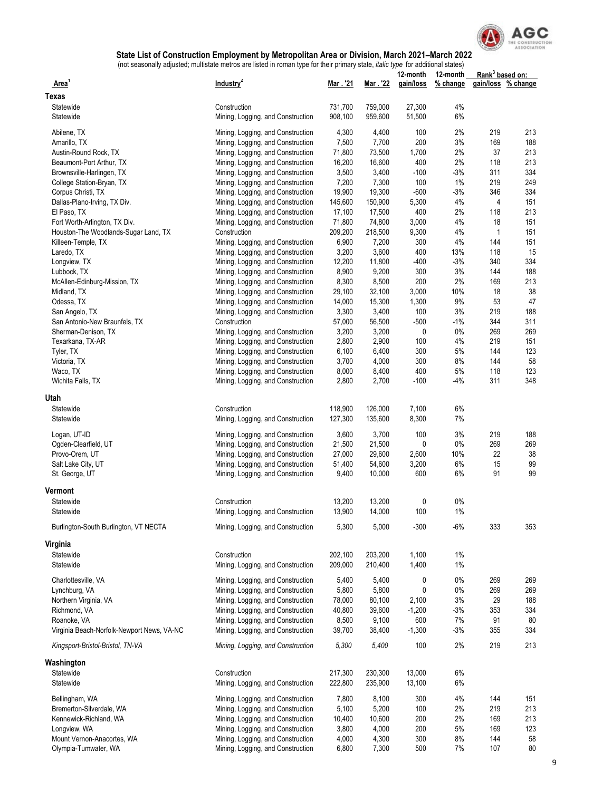

|                                            |                                                                        |                 |                 | 12-month      | 12-month   | Rank <sup>3</sup> based on: |                    |
|--------------------------------------------|------------------------------------------------------------------------|-----------------|-----------------|---------------|------------|-----------------------------|--------------------|
| Area                                       | Industry <sup>2</sup>                                                  | Mar . '21       | Mar . '22       | gain/loss     | % change   |                             | gain/loss % change |
| Texas                                      |                                                                        |                 |                 |               |            |                             |                    |
| Statewide                                  | Construction                                                           | 731,700         | 759,000         | 27,300        | 4%         |                             |                    |
| Statewide                                  | Mining, Logging, and Construction                                      | 908,100         | 959,600         | 51,500        | 6%         |                             |                    |
| Abilene, TX                                | Mining, Logging, and Construction                                      | 4,300           | 4,400           | 100           | 2%         | 219                         | 213                |
| Amarillo, TX                               | Mining, Logging, and Construction                                      | 7,500           | 7,700           | 200           | 3%         | 169                         | 188                |
| Austin-Round Rock, TX                      | Mining, Logging, and Construction                                      | 71,800          | 73,500          | 1,700         | 2%         | 37                          | 213                |
| Beaumont-Port Arthur, TX                   | Mining, Logging, and Construction                                      | 16,200          | 16,600          | 400           | 2%         | 118                         | 213                |
| Brownsville-Harlingen, TX                  | Mining, Logging, and Construction                                      | 3,500           | 3,400           | $-100$        | -3%        | 311                         | 334                |
| College Station-Bryan, TX                  | Mining, Logging, and Construction                                      | 7,200           | 7,300           | 100           | 1%         | 219                         | 249                |
| Corpus Christi, TX                         | Mining, Logging, and Construction                                      | 19,900          | 19,300          | $-600$        | -3%        | 346                         | 334                |
| Dallas-Plano-Irving, TX Div.               | Mining, Logging, and Construction                                      | 145,600         | 150,900         | 5,300         | 4%         | 4                           | 151                |
| El Paso, TX                                | Mining, Logging, and Construction                                      | 17,100          | 17,500          | 400           | 2%         | 118                         | 213                |
| Fort Worth-Arlington, TX Div.              | Mining, Logging, and Construction                                      | 71,800          | 74,800          | 3,000         | 4%         | 18                          | 151                |
| Houston-The Woodlands-Sugar Land, TX       | Construction                                                           | 209,200         | 218,500         | 9,300         | 4%         | $\mathbf{1}$                | 151                |
| Killeen-Temple, TX                         | Mining, Logging, and Construction                                      | 6,900           | 7,200           | 300           | 4%         | 144                         | 151                |
| Laredo, TX                                 | Mining, Logging, and Construction                                      | 3,200<br>12,200 | 3,600<br>11,800 | 400<br>$-400$ | 13%<br>-3% | 118<br>340                  | 15<br>334          |
| Longview, TX<br>Lubbock, TX                | Mining, Logging, and Construction<br>Mining, Logging, and Construction | 8,900           | 9,200           | 300           | 3%         | 144                         | 188                |
| McAllen-Edinburg-Mission, TX               | Mining, Logging, and Construction                                      | 8,300           | 8,500           | 200           | 2%         | 169                         | 213                |
| Midland, TX                                | Mining, Logging, and Construction                                      | 29,100          | 32,100          | 3,000         | 10%        | 18                          | 38                 |
| Odessa, TX                                 | Mining, Logging, and Construction                                      | 14,000          | 15,300          | 1,300         | 9%         | 53                          | 47                 |
| San Angelo, TX                             | Mining, Logging, and Construction                                      | 3,300           | 3,400           | 100           | 3%         | 219                         | 188                |
| San Antonio-New Braunfels, TX              | Construction                                                           | 57,000          | 56,500          | $-500$        | $-1%$      | 344                         | 311                |
| Sherman-Denison, TX                        | Mining, Logging, and Construction                                      | 3,200           | 3,200           | 0             | 0%         | 269                         | 269                |
| Texarkana, TX-AR                           | Mining, Logging, and Construction                                      | 2,800           | 2,900           | 100           | 4%         | 219                         | 151                |
| Tyler, TX                                  | Mining, Logging, and Construction                                      | 6,100           | 6,400           | 300           | 5%         | 144                         | 123                |
| Victoria, TX                               | Mining, Logging, and Construction                                      | 3,700           | 4,000           | 300           | 8%         | 144                         | 58                 |
| Waco, TX                                   | Mining, Logging, and Construction                                      | 8,000           | 8,400           | 400           | 5%         | 118                         | 123                |
| Wichita Falls, TX                          | Mining, Logging, and Construction                                      | 2,800           | 2,700           | $-100$        | -4%        | 311                         | 348                |
| Utah                                       |                                                                        |                 |                 |               |            |                             |                    |
| Statewide                                  | Construction                                                           | 118,900         | 126,000         | 7,100         | $6\%$      |                             |                    |
| Statewide                                  | Mining, Logging, and Construction                                      | 127,300         | 135,600         | 8,300         | 7%         |                             |                    |
| Logan, UT-ID                               | Mining, Logging, and Construction                                      | 3,600           | 3,700           | 100           | 3%         | 219                         | 188                |
| Ogden-Clearfield, UT                       | Mining, Logging, and Construction                                      | 21,500          | 21,500          | 0             | 0%         | 269                         | 269                |
| Provo-Orem, UT                             | Mining, Logging, and Construction                                      | 27,000          | 29,600          | 2,600         | 10%        | 22                          | 38                 |
| Salt Lake City, UT                         | Mining, Logging, and Construction                                      | 51,400          | 54,600          | 3,200         | 6%         | 15                          | 99                 |
| St. George, UT                             | Mining, Logging, and Construction                                      | 9,400           | 10,000          | 600           | 6%         | 91                          | 99                 |
| Vermont                                    |                                                                        |                 |                 |               |            |                             |                    |
| Statewide                                  | Construction                                                           | 13,200          | 13,200          | 0             | $0\%$      |                             |                    |
| Statewide                                  | Mining, Logging, and Construction                                      | 13,900          | 14,000          | 100           | 1%         |                             |                    |
|                                            |                                                                        |                 |                 |               |            |                             |                    |
| Burlington-South Burlington, VT NECTA      | Mining, Logging, and Construction                                      | 5,300           | 5,000           | $-300$        | $-6%$      | 333                         | 353                |
| Virginia                                   |                                                                        |                 |                 |               |            |                             |                    |
| Statewide                                  | Construction                                                           | 202,100         | 203.200         | 1,100         | 1%         |                             |                    |
| Statewide                                  | Mining, Logging, and Construction                                      | 209,000         | 210,400         | 1,400         | 1%         |                             |                    |
| Charlottesville, VA                        | Mining, Logging, and Construction                                      | 5,400           | 5,400           | 0             | $0\%$      | 269                         | 269                |
| Lynchburg, VA                              | Mining, Logging, and Construction                                      | 5,800           | 5,800           | 0             | $0\%$      | 269                         | 269                |
| Northern Virginia, VA                      | Mining, Logging, and Construction                                      | 78,000          | 80,100          | 2,100         | 3%         | 29                          | 188                |
| Richmond, VA                               | Mining, Logging, and Construction                                      | 40,800          | 39,600          | $-1,200$      | $-3%$      | 353                         | 334                |
| Roanoke, VA                                | Mining, Logging, and Construction                                      | 8,500           | 9,100           | 600           | $7\%$      | 91                          | 80                 |
| Virginia Beach-Norfolk-Newport News, VA-NC | Mining, Logging, and Construction                                      | 39,700          | 38,400          | $-1,300$      | $-3%$      | 355                         | 334                |
| Kingsport-Bristol-Bristol, TN-VA           | Mining, Logging, and Construction                                      | 5,300           | 5,400           | 100           | 2%         | 219                         | 213                |
| Washington                                 |                                                                        |                 |                 |               |            |                             |                    |
| Statewide                                  | Construction                                                           | 217,300         | 230,300         | 13,000        | 6%         |                             |                    |
| Statewide                                  | Mining, Logging, and Construction                                      | 222,800         | 235,900         | 13,100        | 6%         |                             |                    |
|                                            |                                                                        |                 |                 |               |            |                             |                    |
| Bellingham, WA                             | Mining, Logging, and Construction                                      | 7,800           | 8,100           | 300           | 4%         | 144                         | 151                |
| Bremerton-Silverdale, WA                   | Mining, Logging, and Construction                                      | 5,100           | 5,200           | 100           | 2%         | 219                         | 213                |
| Kennewick-Richland, WA<br>Longview, WA     | Mining, Logging, and Construction<br>Mining, Logging, and Construction | 10,400<br>3,800 | 10,600<br>4,000 | 200<br>200    | 2%<br>5%   | 169<br>169                  | 213<br>123         |
| Mount Vernon-Anacortes, WA                 | Mining, Logging, and Construction                                      | 4,000           | 4,300           | 300           | 8%         | 144                         | 58                 |
| Olympia-Tumwater, WA                       | Mining, Logging, and Construction                                      | 6,800           | 7,300           | 500           | 7%         | 107                         | $80\,$             |
|                                            |                                                                        |                 |                 |               |            |                             |                    |